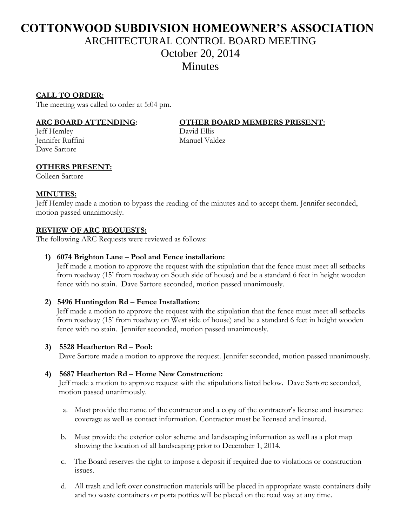# **COTTONWOOD SUBDIVSION HOMEOWNER'S ASSOCIATION** ARCHITECTURAL CONTROL BOARD MEETING October 20, 2014 Minutes

# **CALL TO ORDER:**

The meeting was called to order at 5:04 pm.

Jeff Hemley David Ellis Jennifer Ruffini Manuel Valdez Dave Sartore

# **ARC BOARD ATTENDING: OTHER BOARD MEMBERS PRESENT:**

# **OTHERS PRESENT:**

Colleen Sartore

### **MINUTES:**

Jeff Hemley made a motion to bypass the reading of the minutes and to accept them. Jennifer seconded, motion passed unanimously.

#### **REVIEW OF ARC REQUESTS:**

The following ARC Requests were reviewed as follows:

#### **1) 6074 Brighton Lane – Pool and Fence installation:**

 Jeff made a motion to approve the request with the stipulation that the fence must meet all setbacks from roadway (15' from roadway on South side of house) and be a standard 6 feet in height wooden fence with no stain. Dave Sartore seconded, motion passed unanimously.

### **2) 5496 Huntingdon Rd – Fence Installation:**

 Jeff made a motion to approve the request with the stipulation that the fence must meet all setbacks from roadway (15' from roadway on West side of house) and be a standard 6 feet in height wooden fence with no stain. Jennifer seconded, motion passed unanimously.

#### **3) 5528 Heatherton Rd – Pool:**

Dave Sartore made a motion to approve the request. Jennifer seconded, motion passed unanimously.

#### **4) 5687 Heatherton Rd – Home New Construction:**

 Jeff made a motion to approve request with the stipulations listed below. Dave Sartore seconded, motion passed unanimously.

- a. Must provide the name of the contractor and a copy of the contractor's license and insurance coverage as well as contact information. Contractor must be licensed and insured.
- b. Must provide the exterior color scheme and landscaping information as well as a plot map showing the location of all landscaping prior to December 1, 2014.
- c. The Board reserves the right to impose a deposit if required due to violations or construction issues.
- d. All trash and left over construction materials will be placed in appropriate waste containers daily and no waste containers or porta potties will be placed on the road way at any time.